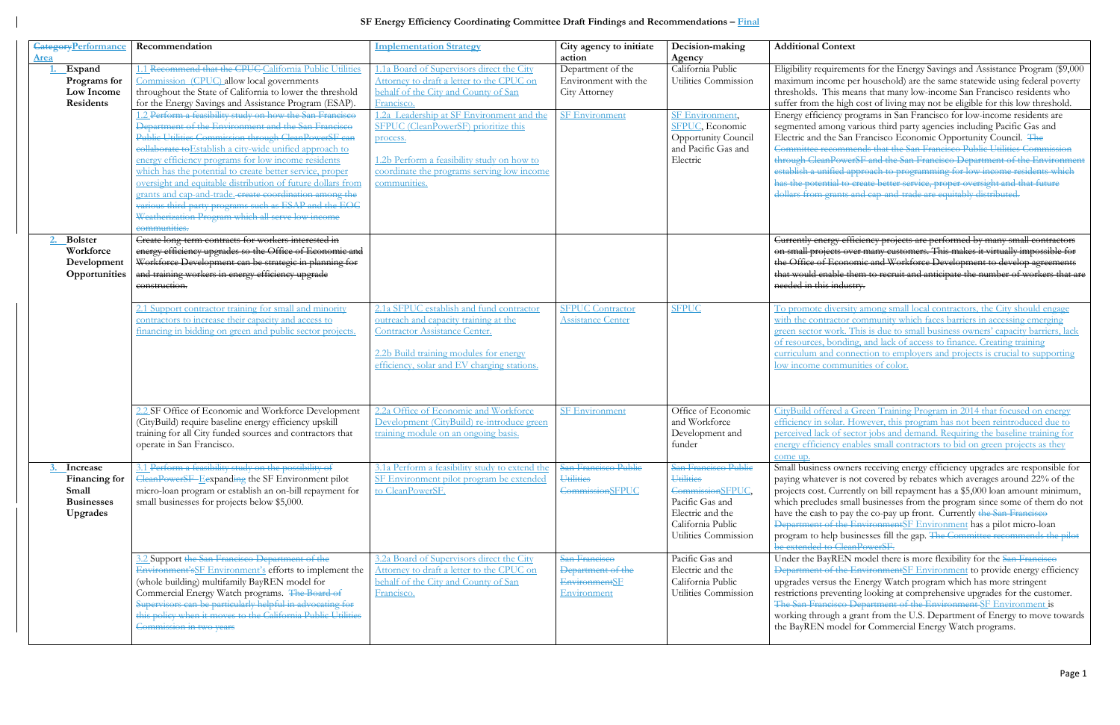## **SF Energy Efficiency Coordinating Committee Draft Findings and Recommendations – Final**

|             | <b>CategoryPerformance</b> | Recommendation                                               | <b>Implementation Strategy</b>                 | City agency to initiate  | Decision-making      | Additional        |
|-------------|----------------------------|--------------------------------------------------------------|------------------------------------------------|--------------------------|----------------------|-------------------|
| <b>Area</b> |                            |                                                              |                                                | action                   | Agency               |                   |
|             | Expand                     | 1.1 Recommend that the CPUC-California Public Utilities      | 1.1a Board of Supervisors direct the City      | Department of the        | California Public    | Eligibility ree   |
|             | Programs for               | Commission (CPUC) allow local governments                    | Attorney to draft a letter to the CPUC on      | Environment with the     | Utilities Commission | maximum in        |
|             | Low Income                 | throughout the State of California to lower the threshold    | behalf of the City and County of San           | City Attorney            |                      | thresholds.       |
|             | <b>Residents</b>           | for the Energy Savings and Assistance Program (ESAP).        | Francisco.                                     |                          |                      | suffer from       |
|             |                            | 2 Perform a feasibility study on how the San Francisco       | 1.2a Leadership at SF Environment and the      | <b>SF Environment</b>    | SF Environment,      | Energy effic      |
|             |                            | Department of the Environment and the San Francisco          | SFPUC (CleanPowerSF) prioritize this           |                          | SFPUC, Economic      | segmented a       |
|             |                            | Public Utilities Commission through CleanPowerSF can         | process.                                       |                          | Opportunity Council  | Electric and      |
|             |                            | collaborate to Establish a city-wide unified approach to     |                                                |                          | and Pacific Gas and  | Committee 1       |
|             |                            | energy efficiency programs for low income residents          | 1.2b Perform a feasibility study on how to     |                          | Electric             | through Clea      |
|             |                            | which has the potential to create better service, proper     | coordinate the programs serving low income     |                          |                      | establish a u     |
|             |                            | oversight and equitable distribution of future dollars from  | communities.                                   |                          |                      | has the poter     |
|             |                            | grants and cap-and-trade. create coordination among the      |                                                |                          |                      | dollars from      |
|             |                            | various third-party programs such as ESAP and the EOC        |                                                |                          |                      |                   |
|             |                            | Weatherization Program which all serve low income            |                                                |                          |                      |                   |
|             |                            | communities.                                                 |                                                |                          |                      |                   |
|             | <b>Bolster</b>             | Create long term contracts for workers interested in         |                                                |                          |                      | Currently en      |
|             | Workforce                  | energy efficiency upgrades so the Office of Economic and     |                                                |                          |                      | on small pro      |
|             | Development                | Workforce Development can be strategic in planning for       |                                                |                          |                      | the Office of     |
|             | Opportunities              | and training workers in energy efficiency upgrade            |                                                |                          |                      | that would e      |
|             |                            | construction.                                                |                                                |                          |                      | needed in th      |
|             |                            |                                                              |                                                |                          |                      |                   |
|             |                            | 2.1 Support contractor training for small and minority       | 2.1a SFPUC establish and fund contractor       | <b>SFPUC Contractor</b>  | <b>SFPUC</b>         | To promote        |
|             |                            | contractors to increase their capacity and access to         | outreach and capacity training at the          | <b>Assistance Center</b> |                      | with the con      |
|             |                            | financing in bidding on green and public sector projects.    | <b>Contractor Assistance Center.</b>           |                          |                      | green sector      |
|             |                            |                                                              |                                                |                          |                      | of resources      |
|             |                            |                                                              | 2.2b Build training modules for energy         |                          |                      | curriculum a      |
|             |                            |                                                              | efficiency, solar and EV charging stations.    |                          |                      | low income        |
|             |                            |                                                              |                                                |                          |                      |                   |
|             |                            |                                                              |                                                |                          |                      |                   |
|             |                            |                                                              |                                                |                          |                      |                   |
|             |                            | 2.2 SF Office of Economic and Workforce Development          | 2.2a Office of Economic and Workforce          | <b>SF Environment</b>    | Office of Economic   | CityBuild of      |
|             |                            | (CityBuild) require baseline energy efficiency upskill       | Development (CityBuild) re-introduce green     |                          | and Workforce        | efficiency in     |
|             |                            | training for all City funded sources and contractors that    | training module on an ongoing basis.           |                          | Development and      | perceived lac     |
|             |                            | operate in San Francisco.                                    |                                                |                          | funder               | energy effici     |
|             |                            |                                                              |                                                |                          |                      | come up.          |
|             | Increase                   | 3.1 Perform a feasibility study on the possibility of        | 3.1a Perform a feasibility study to extend the | San Francisco Public     | San Francisco Public | Small busine      |
|             | Financing for              | CleanPowerSF-Eexpanding the SF Environment pilot             | SF Environment pilot program be extended       | <b>Utilities</b>         | <b>Utilities</b>     | paying whate      |
|             | Small                      | micro-loan program or establish an on-bill repayment for     | to CleanPowerSF.                               | <b>CommissionSFPUC</b>   | CommissionSFPUC,     | projects cost     |
|             | <b>Businesses</b>          | small businesses for projects below \$5,000.                 |                                                |                          | Pacific Gas and      | which preclu      |
|             | <b>Upgrades</b>            |                                                              |                                                |                          | Electric and the     | have the cas!     |
|             |                            |                                                              |                                                |                          | California Public    | <b>Department</b> |
|             |                            |                                                              |                                                |                          | Utilities Commission | program to l      |
|             |                            |                                                              |                                                |                          |                      | be extended       |
|             |                            | 3.2 Support the San Francisco Department of the              | 3.2a Board of Supervisors direct the City      | San Francisco            | Pacific Gas and      | Under the B       |
|             |                            |                                                              | Attorney to draft a letter to the CPUC on      |                          | Electric and the     |                   |
|             |                            | Environment's SF Environment's efforts to implement the      |                                                | Department of the        | California Public    | <b>Department</b> |
|             |                            | (whole building) multifamily BayREN model for                | behalf of the City and County of San           | <b>EnvironmentSF</b>     |                      | upgrades ver      |
|             |                            | Commercial Energy Watch programs. The Board of               | Francisco.                                     | Environment              | Utilities Commission | restrictions p    |
|             |                            | Supervisors can be particularly helpful in advocating for    |                                                |                          |                      | The San Fra       |
|             |                            | this policy when it moves to the California Public Utilities |                                                |                          |                      | working thro      |
|             |                            | Commission in two years                                      |                                                |                          |                      | the BayREN        |
|             |                            |                                                              |                                                |                          |                      |                   |

## **Context**

Eligibility requirements for the Energy Savings and Assistance Program (\$9,000) ncome per household) are the same statewide using federal poverty This means that many low-income San Francisco residents who the high cost of living may not be eligible for this low threshold. Energy efficiency programs in San Francisco for low-income residents are among various third party agencies including Pacific Gas and the San Francisco Economic Opportunity Council. The **Excommends that the San Francisco Public Utilities Commission** through Clean Press Clean Prancisco Department of the Environment nified approach to programming for low income residents which ntial to create better service, proper oversight and that future grants and cap-and-trade are equitably distributed.

ergy efficiency projects are performed by many small contractors jects over many customers. This makes it virtually impossible for f Economic and Workforce Development to develop agreements nable them to recruit and anticipate the number of workers that are  $\frac{1}{18}$  industry.

diversity among small local contractors, the City should engage ntractor community which faces barriers in accessing emerging work. This is due to small business owners' capacity barriers, lack bonding, and lack of access to finance. Creating training and connection to employers and projects is crucial to supporting communities of color.

Fered a Green Training Program in 2014 that focused on energy solar. However, this program has not been reintroduced due to ck of sector jobs and demand. Requiring the baseline training for ency enables small contractors to bid on green projects as they

ess owners receiving energy efficiency upgrades are responsible for ever is not covered by rebates which averages around 22% of the t. Currently on bill repayment has a \$5,000 loan amount minimum, udes small businesses from the program since some of them do not sh to pay the co-pay up front. Currently the San Francisco of the EnvironmentSF Environment has a pilot micro-loan help businesses fill the gap. The Committee recommends the pilot to CleanPowerSF.

BayREN model there is more flexibility for the San Francisco of the EnvironmentSF Environment to provide energy efficiency rsus the Energy Watch program which has more stringent preventing looking at comprehensive upgrades for the customer. neisco Department of the Environment SF Environment is ough a grant from the U.S. Department of Energy to move towards

model for Commercial Energy Watch programs.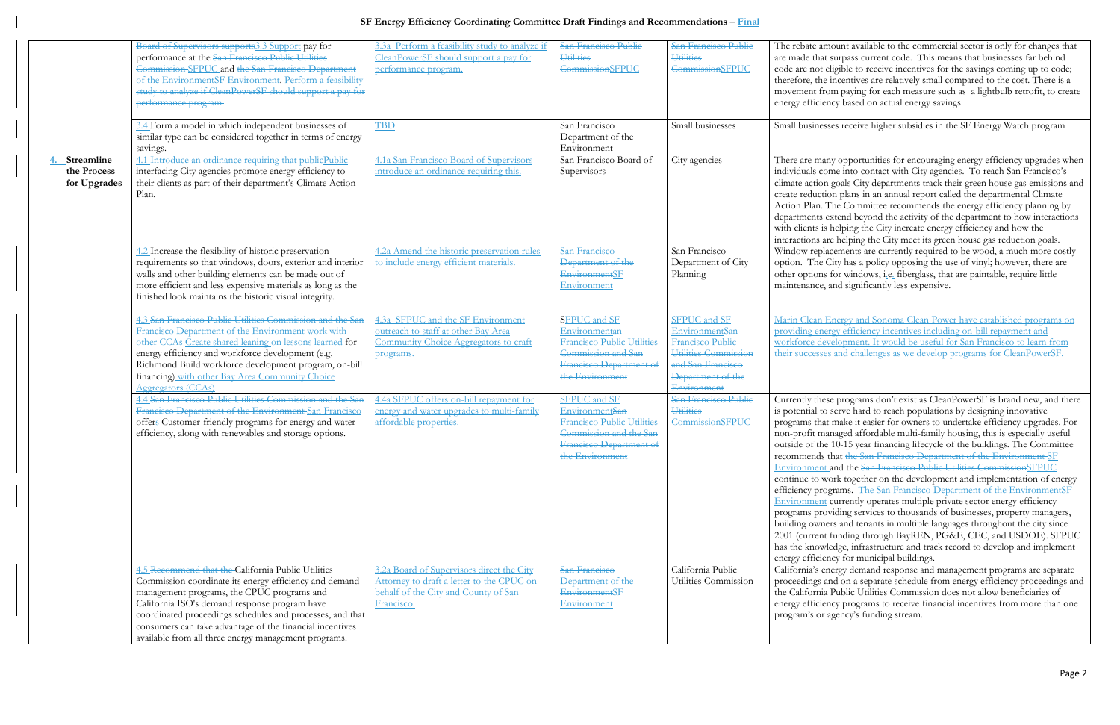## **SF Energy Efficiency Coordinating Committee Draft Findings and Recommendations – Final**

|                                           | Board of Supervisors supports3.3 Support pay for<br>performance at the San Francisco Public Utilities<br>Commission SFPUC and the San Francisco Department<br>of the EnvironmentSF Environment. Perform a feasibility<br>study to analyze if CleanPowerSF should support a pay for<br>performance program.                                                                                   | 3.3a Perform a feasibility study to analyze if<br>CleanPowerSF should support a pay for<br>performance program.                              | San Francisco Public<br><b>Utilities</b><br><b>CommissionSFPUC</b>                                                                          | San Francisco Public<br>Utilities<br><b>CommissionSFPUC</b>                                                                                | The rebate a<br>are made tha<br>code are not<br>therefore, th<br>movement fi<br>energy efficio                                                                                                                                                   |
|-------------------------------------------|----------------------------------------------------------------------------------------------------------------------------------------------------------------------------------------------------------------------------------------------------------------------------------------------------------------------------------------------------------------------------------------------|----------------------------------------------------------------------------------------------------------------------------------------------|---------------------------------------------------------------------------------------------------------------------------------------------|--------------------------------------------------------------------------------------------------------------------------------------------|--------------------------------------------------------------------------------------------------------------------------------------------------------------------------------------------------------------------------------------------------|
|                                           | 3.4 Form a model in which independent businesses of<br>similar type can be considered together in terms of energy<br>savings.                                                                                                                                                                                                                                                                | <b>TBD</b>                                                                                                                                   | San Francisco<br>Department of the<br>Environment                                                                                           | Small businesses                                                                                                                           | Small busine                                                                                                                                                                                                                                     |
| Streamline<br>the Process<br>for Upgrades | 4.1 Introduce an ordinance requiring that publicPublic<br>interfacing City agencies promote energy efficiency to<br>their clients as part of their department's Climate Action<br>Plan.                                                                                                                                                                                                      | 4.1a San Francisco Board of Supervisors<br>introduce an ordinance requiring this.                                                            | San Francisco Board of<br>Supervisors                                                                                                       | City agencies                                                                                                                              | There are ma<br>individuals c<br>climate actio<br>create reduct<br>Action Plan.<br>departments<br>with clients i<br>interactions:                                                                                                                |
|                                           | 4.2 Increase the flexibility of historic preservation<br>requirements so that windows, doors, exterior and interior<br>walls and other building elements can be made out of<br>more efficient and less expensive materials as long as the<br>finished look maintains the historic visual integrity.                                                                                          | 4.2a Amend the historic preservation rules<br>to include energy efficient materials.                                                         | San Francisco<br>Department of the<br><b>Environment</b> SF<br>Environment                                                                  | San Francisco<br>Department of City<br>Planning                                                                                            | Window repl<br>option. The<br>other option<br>maintenance                                                                                                                                                                                        |
|                                           | 4.3 San Francisco Public Utilities Commission and the San<br>Francisco Department of the Environment work with<br>other CCAs Create shared leaning on lessons learned for<br>energy efficiency and workforce development (e.g.<br>Richmond Build workforce development program, on-bill<br>financing) with other Bay Area Community Choice<br>Aggregators (CCAs)                             | 4.3a SFPUC and the SF Environment<br>outreach to staff at other Bay Area<br>Community Choice Aggregators to craft<br>programs.               | <b>SFPUC</b> and SF<br>Environmentan<br>Francisco Public Utilities<br>Commission and San<br>Francisco Department of<br>the Environment      | <b>SFPUC</b> and SF<br>EnvironmentSan<br>Francisco Public<br>Utilities Commission<br>and San Francisco<br>Department of the<br>Environment | Marin Clean<br>providing en<br>workforce de<br>their success                                                                                                                                                                                     |
|                                           | 4.4 San Francisco Public Utilities Commission and the San<br>Francisco Department of the Environment San Francisco<br>offers Customer-friendly programs for energy and water<br>efficiency, along with renewables and storage options.                                                                                                                                                       | 4.4a SFPUC offers on-bill repayment for<br>energy and water upgrades to multi-family<br>affordable properties.                               | <b>SFPUC</b> and SF<br>EnvironmentSan<br>Francisco Public Utilities<br>Commission and the San<br>Francisco Department of<br>the Environment | San Francisco Public<br><b>Utilities</b><br><b>CommissionSFPUC</b>                                                                         | Currently the<br>is potential to<br>programs tha<br>non-profit m<br>outside of th<br>recommends<br>Environmen<br>continue to v<br>efficiency pro<br>Environmen<br>programs pro<br>building own<br>2001 (curren<br>has the knov<br>energy efficio |
|                                           | 4.5 Recommend that the California Public Utilities<br>Commission coordinate its energy efficiency and demand<br>management programs, the CPUC programs and<br>California ISO's demand response program have<br>coordinated proceedings schedules and processes, and that<br>consumers can take advantage of the financial incentives<br>available from all three energy management programs. | 3.2a Board of Supervisors direct the City<br>Attorney to draft a letter to the CPUC on<br>behalf of the City and County of San<br>Francisco. | San Francisco<br>Department of the<br><b>EnvironmentSF</b><br>Environment                                                                   | California Public<br>Utilities Commission                                                                                                  | California's e<br>proceedings<br>the Californi<br>energy efficio<br>program's or                                                                                                                                                                 |

mount available to the commercial sector is only for changes that at surpass current code. This means that businesses far behind eligible to receive incentives for the savings coming up to code; he incentives are relatively small compared to the cost. There is a rom paying for each measure such as a lightbulb retrofit, to create ency based on actual energy savings.

sses receive higher subsidies in the SF Energy Watch program

any opportunities for encouraging energy efficiency upgrades when ome into contact with City agencies. To reach San Francisco's on goals City departments track their green house gas emissions and tion plans in an annual report called the departmental Climate The Committee recommends the energy efficiency planning by extend beyond the activity of the department to how interactions is helping the City increate energy efficiency and how the are helping the City meet its green house gas reduction goals. lacements are currently required to be wood, a much more costly City has a policy opposing the use of vinyl; however, there are is for windows, i.e. fiberglass, that are paintable, require little , and significantly less expensive.

Energy and Sonoma Clean Power have established programs on ergy efficiency incentives including on-bill repayment and evelopment. It would be useful for San Francisco to learn from es and challenges as we develop programs for CleanPowerSF.

ese programs don't exist as CleanPowerSF is brand new, and there o serve hard to reach populations by designing innovative at make it easier for owners to undertake efficiency upgrades. For nanaged affordable multi-family housing, this is especially useful ne 10-15 year financing lifecycle of the buildings. The Committee that the San Francisco Department of the Environment SF It and the San Francisco Public Utilities CommissionSFPUC work together on the development and implementation of energy ograms. The San Francisco Department of the EnvironmentSF It currently operates multiple private sector energy efficiency oviding services to thousands of businesses, property managers, hers and tenants in multiple languages throughout the city since 1t funding through BayREN, PG&E, CEC, and USDOE). SFPUC vledge, infrastructure and track record to develop and implement ency for municipal buildings.

energy demand response and management programs are separate and on a separate schedule from energy efficiency proceedings and ia Public Utilities Commission does not allow beneficiaries of ency programs to receive financial incentives from more than one exprograme in agency's funding stream.